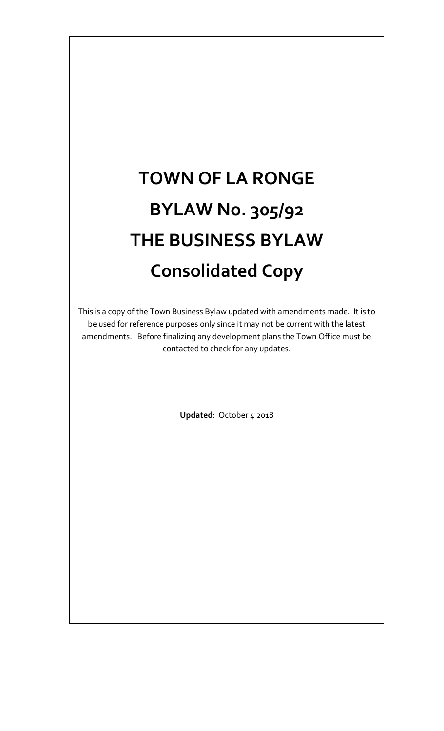# **TOWN OF LA RONGE BYLAW No. 305/92 THE BUSINESS BYLAW Consolidated Copy**

This is a copy of the Town Business Bylaw updated with amendments made. It is to be used for reference purposes only since it may not be current with the latest amendments. Before finalizing any development plans the Town Office must be contacted to check for any updates.

**Updated**: October 4 2018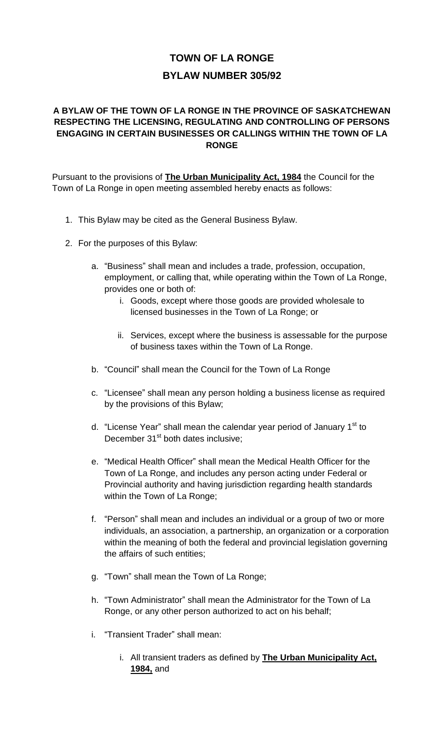# **TOWN OF LA RONGE BYLAW NUMBER 305/92**

# **A BYLAW OF THE TOWN OF LA RONGE IN THE PROVINCE OF SASKATCHEWAN RESPECTING THE LICENSING, REGULATING AND CONTROLLING OF PERSONS ENGAGING IN CERTAIN BUSINESSES OR CALLINGS WITHIN THE TOWN OF LA RONGE**

Pursuant to the provisions of **The Urban Municipality Act, 1984** the Council for the Town of La Ronge in open meeting assembled hereby enacts as follows:

- 1. This Bylaw may be cited as the General Business Bylaw.
- 2. For the purposes of this Bylaw:
	- a. "Business" shall mean and includes a trade, profession, occupation, employment, or calling that, while operating within the Town of La Ronge, provides one or both of:
		- i. Goods, except where those goods are provided wholesale to licensed businesses in the Town of La Ronge; or
		- ii. Services, except where the business is assessable for the purpose of business taxes within the Town of La Ronge.
	- b. "Council" shall mean the Council for the Town of La Ronge
	- c. "Licensee" shall mean any person holding a business license as required by the provisions of this Bylaw;
	- d. "License Year" shall mean the calendar year period of January 1<sup>st</sup> to December 31<sup>st</sup> both dates inclusive:
	- e. "Medical Health Officer" shall mean the Medical Health Officer for the Town of La Ronge, and includes any person acting under Federal or Provincial authority and having jurisdiction regarding health standards within the Town of La Ronge;
	- f. "Person" shall mean and includes an individual or a group of two or more individuals, an association, a partnership, an organization or a corporation within the meaning of both the federal and provincial legislation governing the affairs of such entities;
	- g. "Town" shall mean the Town of La Ronge;
	- h. "Town Administrator" shall mean the Administrator for the Town of La Ronge, or any other person authorized to act on his behalf;
	- i. "Transient Trader" shall mean:
		- i. All transient traders as defined by **The Urban Municipality Act, 1984,** and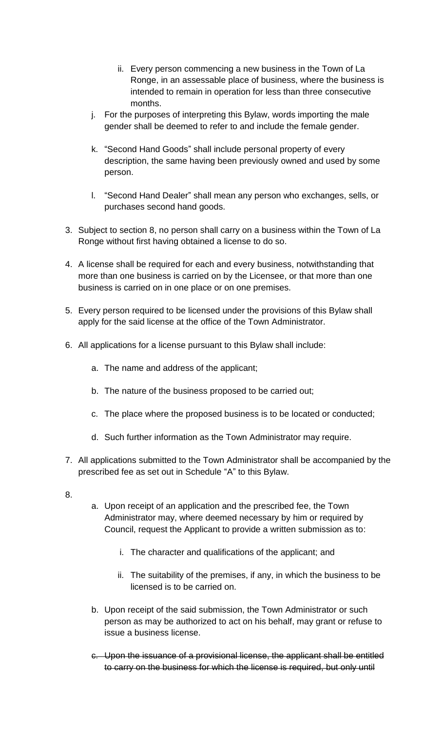- ii. Every person commencing a new business in the Town of La Ronge, in an assessable place of business, where the business is intended to remain in operation for less than three consecutive months.
- j. For the purposes of interpreting this Bylaw, words importing the male gender shall be deemed to refer to and include the female gender.
- k. "Second Hand Goods" shall include personal property of every description, the same having been previously owned and used by some person.
- l. "Second Hand Dealer" shall mean any person who exchanges, sells, or purchases second hand goods.
- 3. Subject to section 8, no person shall carry on a business within the Town of La Ronge without first having obtained a license to do so.
- 4. A license shall be required for each and every business, notwithstanding that more than one business is carried on by the Licensee, or that more than one business is carried on in one place or on one premises.
- 5. Every person required to be licensed under the provisions of this Bylaw shall apply for the said license at the office of the Town Administrator.
- 6. All applications for a license pursuant to this Bylaw shall include:
	- a. The name and address of the applicant;
	- b. The nature of the business proposed to be carried out;
	- c. The place where the proposed business is to be located or conducted;
	- d. Such further information as the Town Administrator may require.
- 7. All applications submitted to the Town Administrator shall be accompanied by the prescribed fee as set out in Schedule "A" to this Bylaw.
- 8.
- a. Upon receipt of an application and the prescribed fee, the Town Administrator may, where deemed necessary by him or required by Council, request the Applicant to provide a written submission as to:
	- i. The character and qualifications of the applicant; and
	- ii. The suitability of the premises, if any, in which the business to be licensed is to be carried on.
- b. Upon receipt of the said submission, the Town Administrator or such person as may be authorized to act on his behalf, may grant or refuse to issue a business license.
- c. Upon the issuance of a provisional license, the applicant shall be entitled to carry on the business for which the license is required, but only until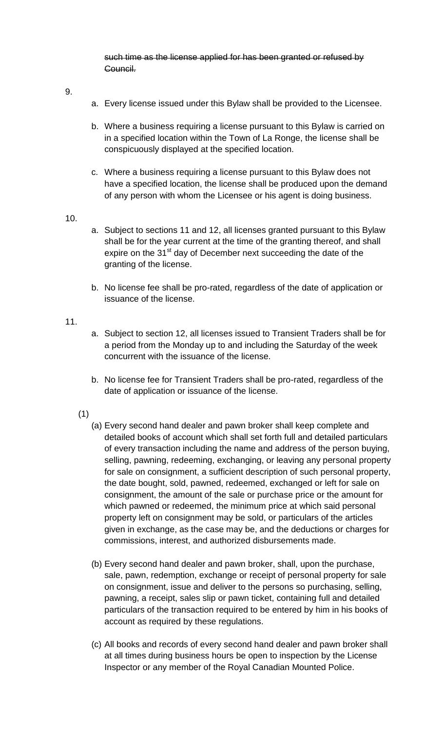such time as the license applied for has been granted or refused by Council.

- 9.
- a. Every license issued under this Bylaw shall be provided to the Licensee.
- b. Where a business requiring a license pursuant to this Bylaw is carried on in a specified location within the Town of La Ronge, the license shall be conspicuously displayed at the specified location.
- c. Where a business requiring a license pursuant to this Bylaw does not have a specified location, the license shall be produced upon the demand of any person with whom the Licensee or his agent is doing business.
- 10.
- a. Subject to sections 11 and 12, all licenses granted pursuant to this Bylaw shall be for the year current at the time of the granting thereof, and shall expire on the 31<sup>st</sup> day of December next succeeding the date of the granting of the license.
- b. No license fee shall be pro-rated, regardless of the date of application or issuance of the license.

#### 11.

- a. Subject to section 12, all licenses issued to Transient Traders shall be for a period from the Monday up to and including the Saturday of the week concurrent with the issuance of the license.
- b. No license fee for Transient Traders shall be pro-rated, regardless of the date of application or issuance of the license.
- (1)
	- (a) Every second hand dealer and pawn broker shall keep complete and detailed books of account which shall set forth full and detailed particulars of every transaction including the name and address of the person buying, selling, pawning, redeeming, exchanging, or leaving any personal property for sale on consignment, a sufficient description of such personal property, the date bought, sold, pawned, redeemed, exchanged or left for sale on consignment, the amount of the sale or purchase price or the amount for which pawned or redeemed, the minimum price at which said personal property left on consignment may be sold, or particulars of the articles given in exchange, as the case may be, and the deductions or charges for commissions, interest, and authorized disbursements made.
	- (b) Every second hand dealer and pawn broker, shall, upon the purchase, sale, pawn, redemption, exchange or receipt of personal property for sale on consignment, issue and deliver to the persons so purchasing, selling, pawning, a receipt, sales slip or pawn ticket, containing full and detailed particulars of the transaction required to be entered by him in his books of account as required by these regulations.
	- (c) All books and records of every second hand dealer and pawn broker shall at all times during business hours be open to inspection by the License Inspector or any member of the Royal Canadian Mounted Police.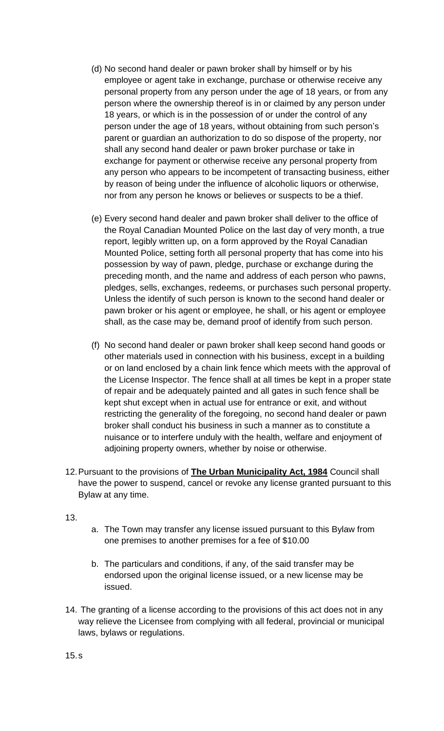- (d) No second hand dealer or pawn broker shall by himself or by his employee or agent take in exchange, purchase or otherwise receive any personal property from any person under the age of 18 years, or from any person where the ownership thereof is in or claimed by any person under 18 years, or which is in the possession of or under the control of any person under the age of 18 years, without obtaining from such person's parent or guardian an authorization to do so dispose of the property, nor shall any second hand dealer or pawn broker purchase or take in exchange for payment or otherwise receive any personal property from any person who appears to be incompetent of transacting business, either by reason of being under the influence of alcoholic liquors or otherwise, nor from any person he knows or believes or suspects to be a thief.
- (e) Every second hand dealer and pawn broker shall deliver to the office of the Royal Canadian Mounted Police on the last day of very month, a true report, legibly written up, on a form approved by the Royal Canadian Mounted Police, setting forth all personal property that has come into his possession by way of pawn, pledge, purchase or exchange during the preceding month, and the name and address of each person who pawns, pledges, sells, exchanges, redeems, or purchases such personal property. Unless the identify of such person is known to the second hand dealer or pawn broker or his agent or employee, he shall, or his agent or employee shall, as the case may be, demand proof of identify from such person.
- (f) No second hand dealer or pawn broker shall keep second hand goods or other materials used in connection with his business, except in a building or on land enclosed by a chain link fence which meets with the approval of the License Inspector. The fence shall at all times be kept in a proper state of repair and be adequately painted and all gates in such fence shall be kept shut except when in actual use for entrance or exit, and without restricting the generality of the foregoing, no second hand dealer or pawn broker shall conduct his business in such a manner as to constitute a nuisance or to interfere unduly with the health, welfare and enjoyment of adjoining property owners, whether by noise or otherwise.
- 12.Pursuant to the provisions of **The Urban Municipality Act, 1984** Council shall have the power to suspend, cancel or revoke any license granted pursuant to this Bylaw at any time.

13.

- a. The Town may transfer any license issued pursuant to this Bylaw from one premises to another premises for a fee of \$10.00
- b. The particulars and conditions, if any, of the said transfer may be endorsed upon the original license issued, or a new license may be issued.
- 14. The granting of a license according to the provisions of this act does not in any way relieve the Licensee from complying with all federal, provincial or municipal laws, bylaws or regulations.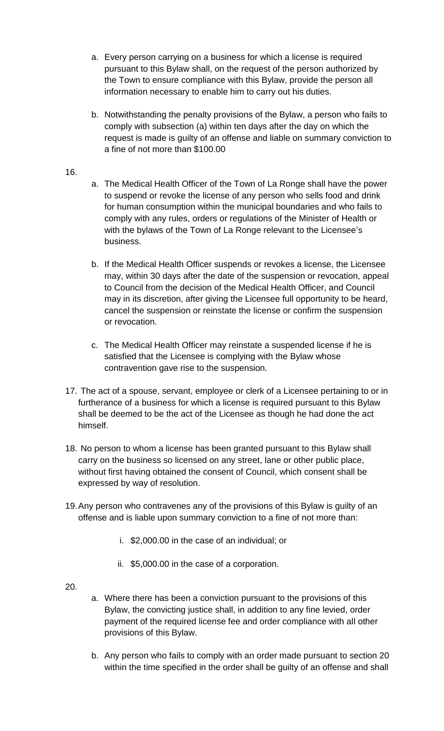- a. Every person carrying on a business for which a license is required pursuant to this Bylaw shall, on the request of the person authorized by the Town to ensure compliance with this Bylaw, provide the person all information necessary to enable him to carry out his duties.
- b. Notwithstanding the penalty provisions of the Bylaw, a person who fails to comply with subsection (a) within ten days after the day on which the request is made is guilty of an offense and liable on summary conviction to a fine of not more than \$100.00

#### 16.

- a. The Medical Health Officer of the Town of La Ronge shall have the power to suspend or revoke the license of any person who sells food and drink for human consumption within the municipal boundaries and who fails to comply with any rules, orders or regulations of the Minister of Health or with the bylaws of the Town of La Ronge relevant to the Licensee's business.
- b. If the Medical Health Officer suspends or revokes a license, the Licensee may, within 30 days after the date of the suspension or revocation, appeal to Council from the decision of the Medical Health Officer, and Council may in its discretion, after giving the Licensee full opportunity to be heard, cancel the suspension or reinstate the license or confirm the suspension or revocation.
- c. The Medical Health Officer may reinstate a suspended license if he is satisfied that the Licensee is complying with the Bylaw whose contravention gave rise to the suspension.
- 17. The act of a spouse, servant, employee or clerk of a Licensee pertaining to or in furtherance of a business for which a license is required pursuant to this Bylaw shall be deemed to be the act of the Licensee as though he had done the act himself.
- 18. No person to whom a license has been granted pursuant to this Bylaw shall carry on the business so licensed on any street, lane or other public place, without first having obtained the consent of Council, which consent shall be expressed by way of resolution.
- 19.Any person who contravenes any of the provisions of this Bylaw is guilty of an offense and is liable upon summary conviction to a fine of not more than:
	- i. \$2,000.00 in the case of an individual; or
	- ii. \$5,000.00 in the case of a corporation.
- 20.
- a. Where there has been a conviction pursuant to the provisions of this Bylaw, the convicting justice shall, in addition to any fine levied, order payment of the required license fee and order compliance with all other provisions of this Bylaw.
- b. Any person who fails to comply with an order made pursuant to section 20 within the time specified in the order shall be guilty of an offense and shall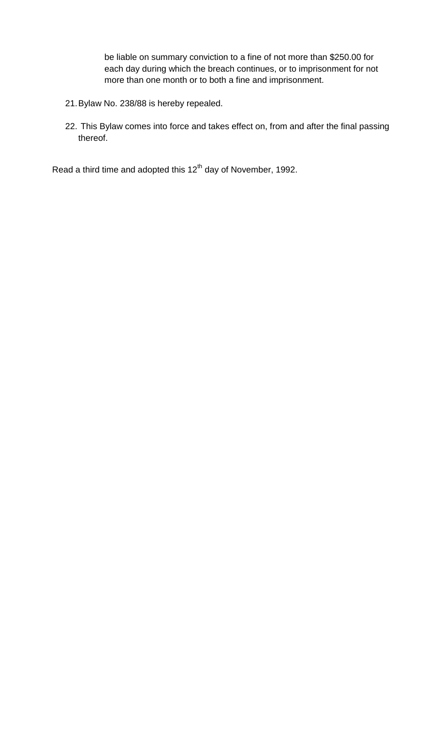be liable on summary conviction to a fine of not more than \$250.00 for each day during which the breach continues, or to imprisonment for not more than one month or to both a fine and imprisonment.

- 21.Bylaw No. 238/88 is hereby repealed.
- 22. This Bylaw comes into force and takes effect on, from and after the final passing thereof.

Read a third time and adopted this 12<sup>th</sup> day of November, 1992.